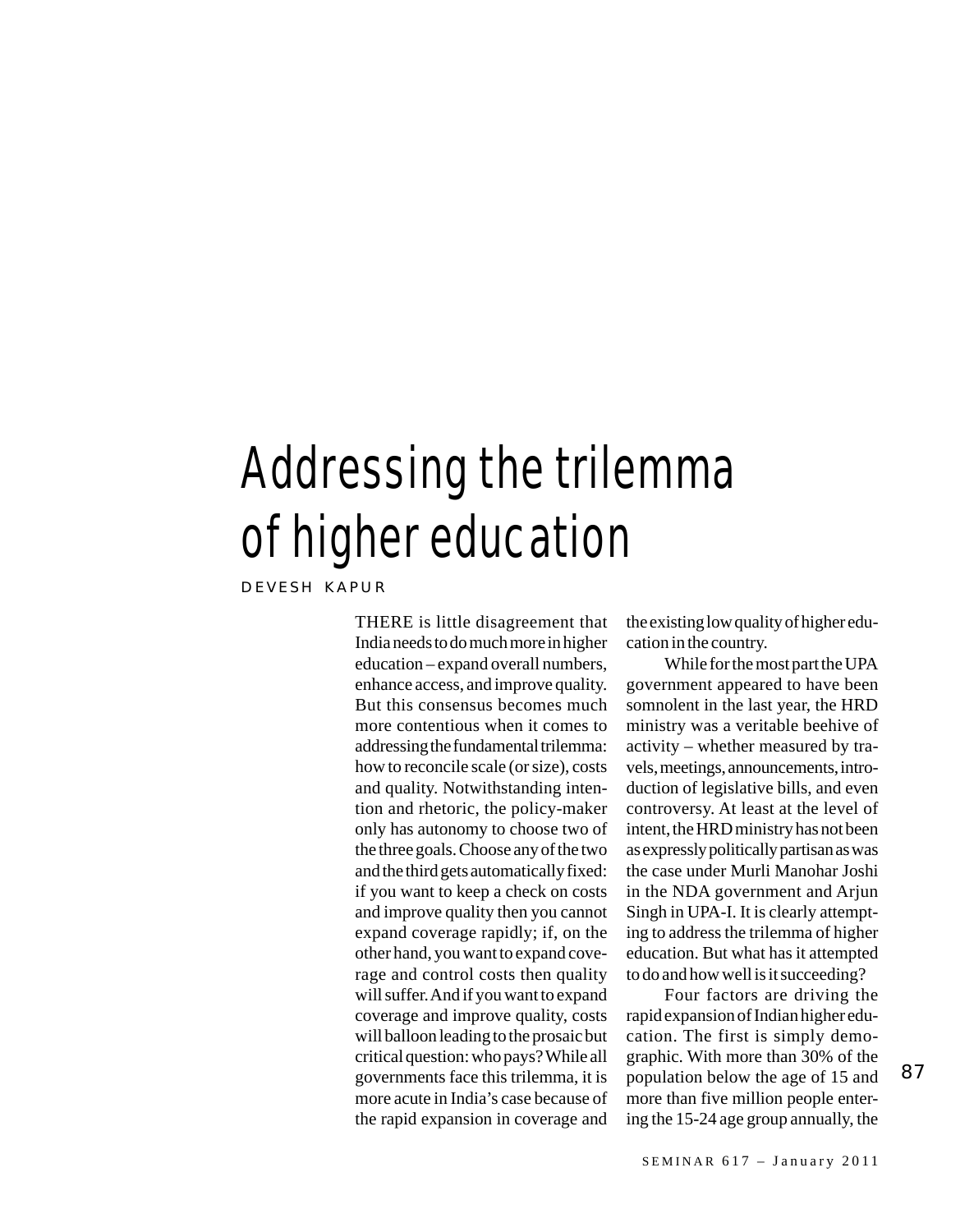## Addressing the trilemma of higher education

DEVESH KAPUR

THERE is little disagreement that India needs to do much more in higher education – expand overall numbers, enhance access, and improve quality. But this consensus becomes much more contentious when it comes to addressing the fundamental trilemma: how to reconcile scale (or size), costs and quality. Notwithstanding intention and rhetoric, the policy-maker only has autonomy to choose two of the three goals. Choose any of the two and the third gets automatically fixed: if you want to keep a check on costs and improve quality then you cannot expand coverage rapidly; if, on the other hand, you want to expand coverage and control costs then quality will suffer. And if you want to expand coverage and improve quality, costs will balloon leading to the prosaic but critical question: who pays? While all governments face this trilemma, it is more acute in India's case because of the rapid expansion in coverage and

the existing low quality of higher education in the country.

While for the most part the UPA government appeared to have been somnolent in the last year, the HRD ministry was a veritable beehive of activity – whether measured by travels, meetings, announcements, introduction of legislative bills, and even controversy. At least at the level of intent, the HRD ministry has not been as expressly politically partisan as was the case under Murli Manohar Joshi in the NDA government and Arjun Singh in UPA-I. It is clearly attempting to address the trilemma of higher education. But what has it attempted to do and how well is it succeeding?

Four factors are driving the rapid expansion of Indian higher education. The first is simply demographic. With more than 30% of the population below the age of 15 and more than five million people entering the 15-24 age group annually, the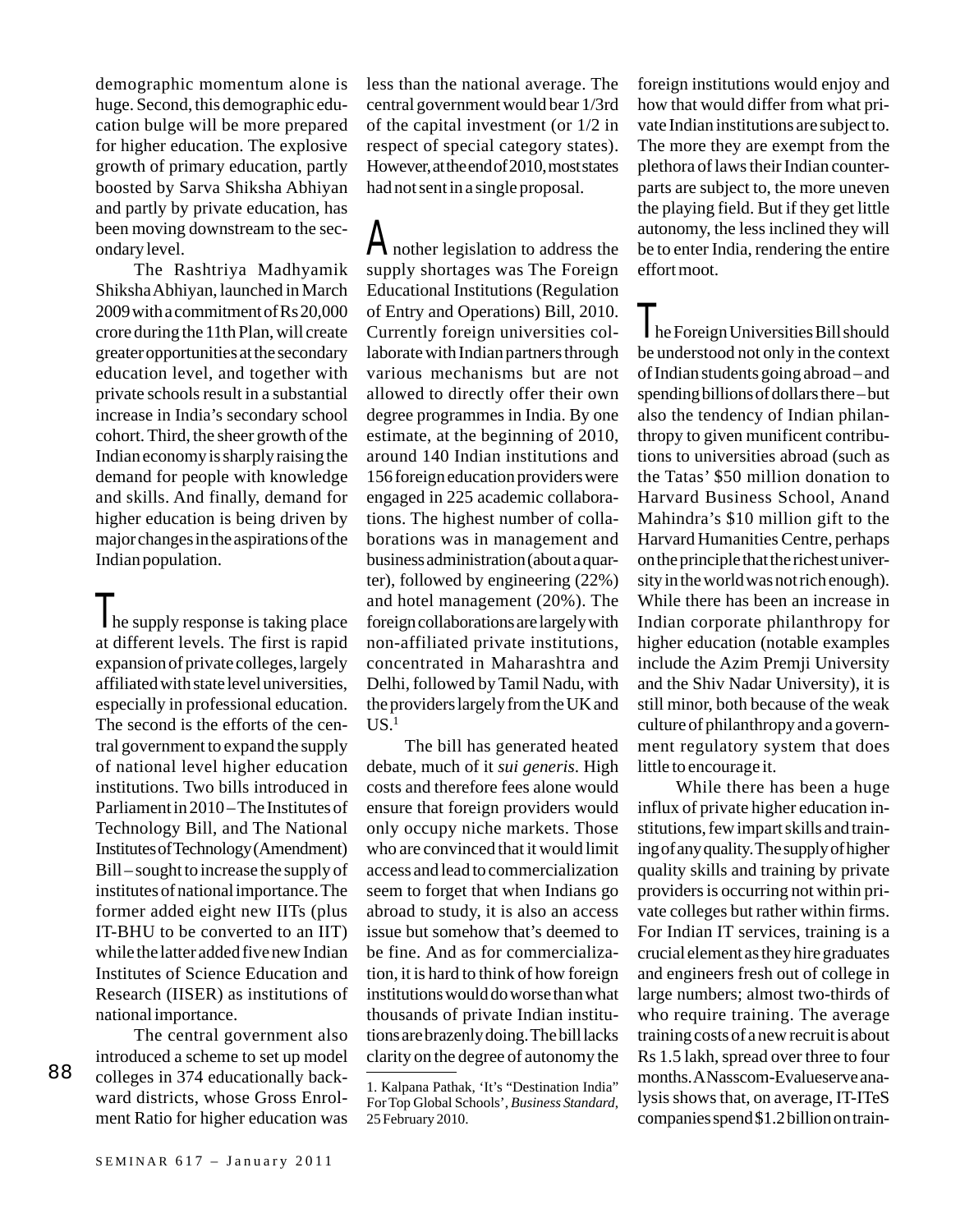demographic momentum alone is huge. Second, this demographic education bulge will be more prepared for higher education. The explosive growth of primary education, partly boosted by Sarva Shiksha Abhiyan and partly by private education, has been moving downstream to the secondary level.

The Rashtriya Madhyamik Shiksha Abhiyan, launched in March 2009 with a commitment of Rs 20,000 crore during the 11th Plan, will create greater opportunities at the secondary education level, and together with private schools result in a substantial increase in India's secondary school cohort. Third, the sheer growth of the Indian economy is sharply raising the demand for people with knowledge and skills. And finally, demand for higher education is being driven by major changes in the aspirations of the Indian population.

Ine supply response is taking place at different levels. The first is rapid expansion of private colleges, largely affiliated with state level universities, especially in professional education. The second is the efforts of the central government to expand the supply of national level higher education institutions. Two bills introduced in Parliament in 2010 – The Institutes of Technology Bill, and The National Institutes of Technology (Amendment) Bill – sought to increase the supply of institutes of national importance. The former added eight new IITs (plus IT-BHU to be converted to an IIT) while the latter added five new Indian Institutes of Science Education and Research (IISER) as institutions of national importance.

The central government also introduced a scheme to set up model colleges in 374 educationally backward districts, whose Gross Enrolment Ratio for higher education was less than the national average. The central government would bear 1/3rd of the capital investment (or 1/2 in respect of special category states). However, at the end of 2010, most states had not sent in a single proposal.

Another legislation to address the supply shortages was The Foreign Educational Institutions (Regulation of Entry and Operations) Bill, 2010. Currently foreign universities collaborate with Indian partners through various mechanisms but are not allowed to directly offer their own degree programmes in India. By one estimate, at the beginning of 2010, around 140 Indian institutions and 156 foreign education providers were engaged in 225 academic collaborations. The highest number of collaborations was in management and business administration (about a quarter), followed by engineering (22%) and hotel management (20%). The foreign collaborations are largely with non-affiliated private institutions, concentrated in Maharashtra and Delhi, followed by Tamil Nadu, with the providers largely from the UK and  $US<sup>1</sup>$ 

The bill has generated heated debate, much of it *sui generis*. High costs and therefore fees alone would ensure that foreign providers would only occupy niche markets. Those who are convinced that it would limit access and lead to commercialization seem to forget that when Indians go abroad to study, it is also an access issue but somehow that's deemed to be fine. And as for commercialization, it is hard to think of how foreign institutions would do worse than what thousands of private Indian institutions are brazenly doing. The bill lacks clarity on the degree of autonomy the foreign institutions would enjoy and how that would differ from what private Indian institutions are subject to. The more they are exempt from the plethora of laws their Indian counterparts are subject to, the more uneven the playing field. But if they get little autonomy, the less inclined they will be to enter India, rendering the entire effort moot.

The Foreign Universities Bill should be understood not only in the context of Indian students going abroad – and spending billions of dollars there – but also the tendency of Indian philanthropy to given munificent contributions to universities abroad (such as the Tatas' \$50 million donation to Harvard Business School, Anand Mahindra's \$10 million gift to the Harvard Humanities Centre, perhaps on the principle that the richest university in the world was not rich enough). While there has been an increase in Indian corporate philanthropy for higher education (notable examples include the Azim Premji University and the Shiv Nadar University), it is still minor, both because of the weak culture of philanthropy and a government regulatory system that does little to encourage it.

While there has been a huge influx of private higher education institutions, few impart skills and training of any quality. The supply of higher quality skills and training by private providers is occurring not within private colleges but rather within firms. For Indian IT services, training is a crucial element as they hire graduates and engineers fresh out of college in large numbers; almost two-thirds of who require training. The average training costs of a new recruit is about Rs 1.5 lakh, spread over three to four months. A Nasscom-Evalueserve analysis shows that, on average, IT-ITeS companies spend \$1.2 billion on train-

<sup>1.</sup> Kalpana Pathak, 'It's "Destination India" For Top Global Schools', *Business Standard*, 25 February 2010.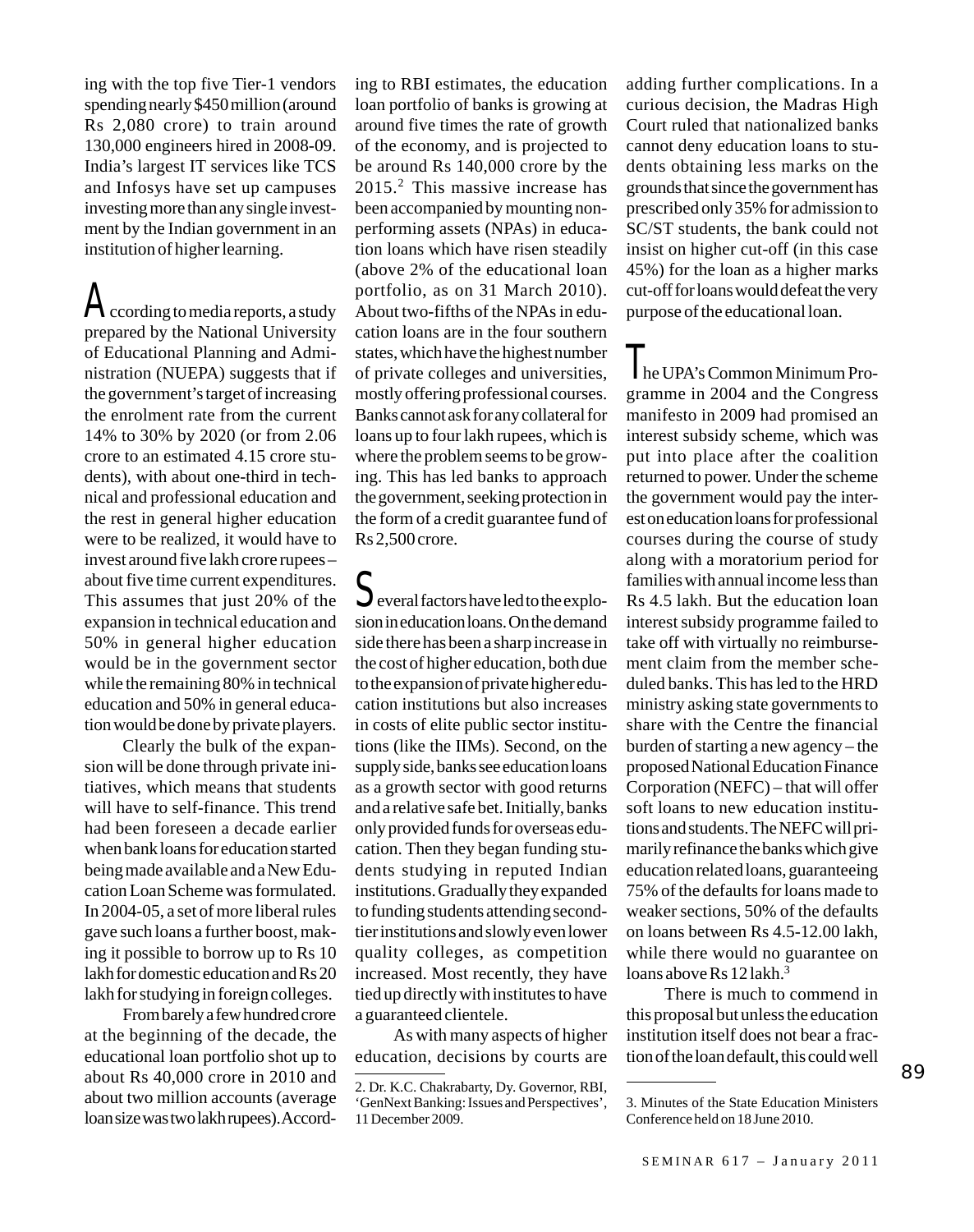ing with the top five Tier-1 vendors spending nearly \$450 million (around Rs 2,080 crore) to train around 130,000 engineers hired in 2008-09. India's largest IT services like TCS and Infosys have set up campuses investing more than any single investment by the Indian government in an institution of higher learning.

According to media reports, a study prepared by the National University of Educational Planning and Administration (NUEPA) suggests that if the government's target of increasing the enrolment rate from the current 14% to 30% by 2020 (or from 2.06 crore to an estimated 4.15 crore students), with about one-third in technical and professional education and the rest in general higher education were to be realized, it would have to invest around five lakh crore rupees – about five time current expenditures. This assumes that just 20% of the expansion in technical education and 50% in general higher education would be in the government sector while the remaining 80% in technical education and 50% in general education would be done by private players.

Clearly the bulk of the expansion will be done through private initiatives, which means that students will have to self-finance. This trend had been foreseen a decade earlier when bank loans for education started being made available and a New Education Loan Scheme was formulated. In 2004-05, a set of more liberal rules gave such loans a further boost, making it possible to borrow up to Rs 10 lakh for domestic education and Rs 20 lakh for studying in foreign colleges.

From barely a few hundred crore at the beginning of the decade, the educational loan portfolio shot up to about Rs 40,000 crore in 2010 and about two million accounts (average loan size was two lakh rupees). According to RBI estimates, the education loan portfolio of banks is growing at around five times the rate of growth of the economy, and is projected to be around Rs 140,000 crore by the 2015.2 This massive increase has been accompanied by mounting nonperforming assets (NPAs) in education loans which have risen steadily (above 2% of the educational loan portfolio, as on 31 March 2010). About two-fifths of the NPAs in education loans are in the four southern states, which have the highest number of private colleges and universities, mostly offering professional courses. Banks cannot ask for any collateral for loans up to four lakh rupees, which is where the problem seems to be growing. This has led banks to approach the government, seeking protection in the form of a credit guarantee fund of Rs 2,500 crore.

 $\mathbb S$ everal factors have led to the explosion in education loans. On the demand side there has been a sharp increase in the cost of higher education, both due to the expansion of private higher education institutions but also increases in costs of elite public sector institutions (like the IIMs). Second, on the supply side, banks see education loans as a growth sector with good returns and a relative safe bet. Initially, banks only provided funds for overseas education. Then they began funding students studying in reputed Indian institutions. Gradually they expanded to funding students attending secondtier institutions and slowly even lower quality colleges, as competition increased. Most recently, they have tied up directly with institutes to have a guaranteed clientele.

As with many aspects of higher education, decisions by courts are

adding further complications. In a curious decision, the Madras High Court ruled that nationalized banks cannot deny education loans to students obtaining less marks on the grounds that since the government has prescribed only 35% for admission to SC/ST students, the bank could not insist on higher cut-off (in this case 45%) for the loan as a higher marks cut-off for loans would defeat the very purpose of the educational loan.

The UPA's Common Minimum Programme in 2004 and the Congress manifesto in 2009 had promised an interest subsidy scheme, which was put into place after the coalition returned to power. Under the scheme the government would pay the interest on education loans for professional courses during the course of study along with a moratorium period for families with annual income less than Rs 4.5 lakh. But the education loan interest subsidy programme failed to take off with virtually no reimbursement claim from the member scheduled banks. This has led to the HRD ministry asking state governments to share with the Centre the financial burden of starting a new agency – the proposed National Education Finance Corporation (NEFC) – that will offer soft loans to new education institutions and students. The NEFC will primarily refinance the banks which give education related loans, guaranteeing 75% of the defaults for loans made to weaker sections, 50% of the defaults on loans between Rs 4.5-12.00 lakh, while there would no guarantee on loans above Rs  $12$  lakh.<sup>3</sup>

There is much to commend in this proposal but unless the education institution itself does not bear a fraction of the loan default, this could well

<sup>2.</sup> Dr. K.C. Chakrabarty, Dy. Governor, RBI, 'GenNext Banking: Issues and Perspectives', 11 December 2009.

<sup>3.</sup> Minutes of the State Education Ministers Conference held on 18 June 2010.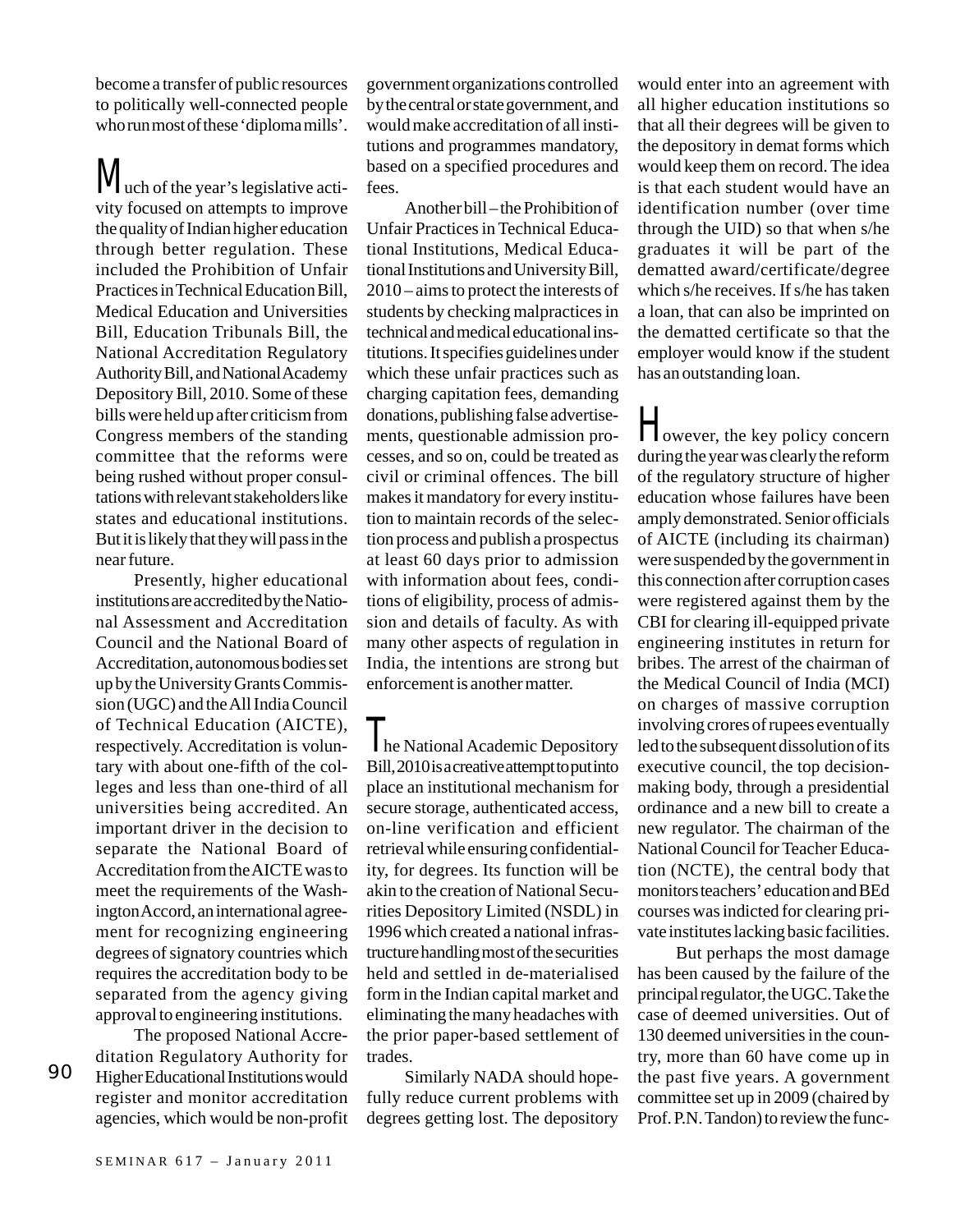become a transfer of public resources to politically well-connected people who run most of these 'diploma mills'.

Wuch of the year's legislative activity focused on attempts to improve the quality of Indian higher education through better regulation. These included the Prohibition of Unfair Practices in Technical Education Bill, Medical Education and Universities Bill, Education Tribunals Bill, the National Accreditation Regulatory Authority Bill, and National Academy Depository Bill, 2010. Some of these bills were held up after criticism from Congress members of the standing committee that the reforms were being rushed without proper consultations with relevant stakeholders like states and educational institutions. But it is likely that they will pass in the near future.

Presently, higher educational institutions are accredited by the National Assessment and Accreditation Council and the National Board of Accreditation, autonomous bodies set up by the University Grants Commission (UGC) and the All India Council of Technical Education (AICTE), respectively. Accreditation is voluntary with about one-fifth of the colleges and less than one-third of all universities being accredited. An important driver in the decision to separate the National Board of Accreditation from the AICTE was to meet the requirements of the Washington Accord, an international agreement for recognizing engineering degrees of signatory countries which requires the accreditation body to be separated from the agency giving approval to engineering institutions.

The proposed National Accreditation Regulatory Authority for Higher Educational Institutions would register and monitor accreditation agencies, which would be non-profit

90

government organizations controlled by the central or state government, and would make accreditation of all institutions and programmes mandatory, based on a specified procedures and fees.

Another bill – the Prohibition of Unfair Practices in Technical Educational Institutions, Medical Educational Institutions and University Bill, 2010 – aims to protect the interests of students by checking malpractices in technical and medical educational institutions. It specifies guidelines under which these unfair practices such as charging capitation fees, demanding donations, publishing false advertisements, questionable admission processes, and so on, could be treated as civil or criminal offences. The bill makes it mandatory for every institution to maintain records of the selection process and publish a prospectus at least 60 days prior to admission with information about fees, conditions of eligibility, process of admission and details of faculty. As with many other aspects of regulation in India, the intentions are strong but enforcement is another matter.

**The National Academic Depository** Bill, 2010 is a creative attempt to put into place an institutional mechanism for secure storage, authenticated access, on-line verification and efficient retrieval while ensuring confidentiality, for degrees. Its function will be akin to the creation of National Securities Depository Limited (NSDL) in 1996 which created a national infrastructure handling most of the securities held and settled in de-materialised form in the Indian capital market and eliminating the many headaches with the prior paper-based settlement of trades.

Similarly NADA should hopefully reduce current problems with degrees getting lost. The depository

would enter into an agreement with all higher education institutions so that all their degrees will be given to the depository in demat forms which would keep them on record. The idea is that each student would have an identification number (over time through the UID) so that when s/he graduates it will be part of the dematted award/certificate/degree which s/he receives. If s/he has taken a loan, that can also be imprinted on the dematted certificate so that the employer would know if the student has an outstanding loan.

However, the key policy concern during the year was clearly the reform of the regulatory structure of higher education whose failures have been amply demonstrated. Senior officials of AICTE (including its chairman) were suspended by the government in this connection after corruption cases were registered against them by the CBI for clearing ill-equipped private engineering institutes in return for bribes. The arrest of the chairman of the Medical Council of India (MCI) on charges of massive corruption involving crores of rupees eventually led to the subsequent dissolution of its executive council, the top decisionmaking body, through a presidential ordinance and a new bill to create a new regulator. The chairman of the National Council for Teacher Education (NCTE), the central body that monitors teachers' education and BEd courses was indicted for clearing private institutes lacking basic facilities.

But perhaps the most damage has been caused by the failure of the principal regulator, the UGC. Take the case of deemed universities. Out of 130 deemed universities in the country, more than 60 have come up in the past five years. A government committee set up in 2009 (chaired by Prof. P.N. Tandon) to review the func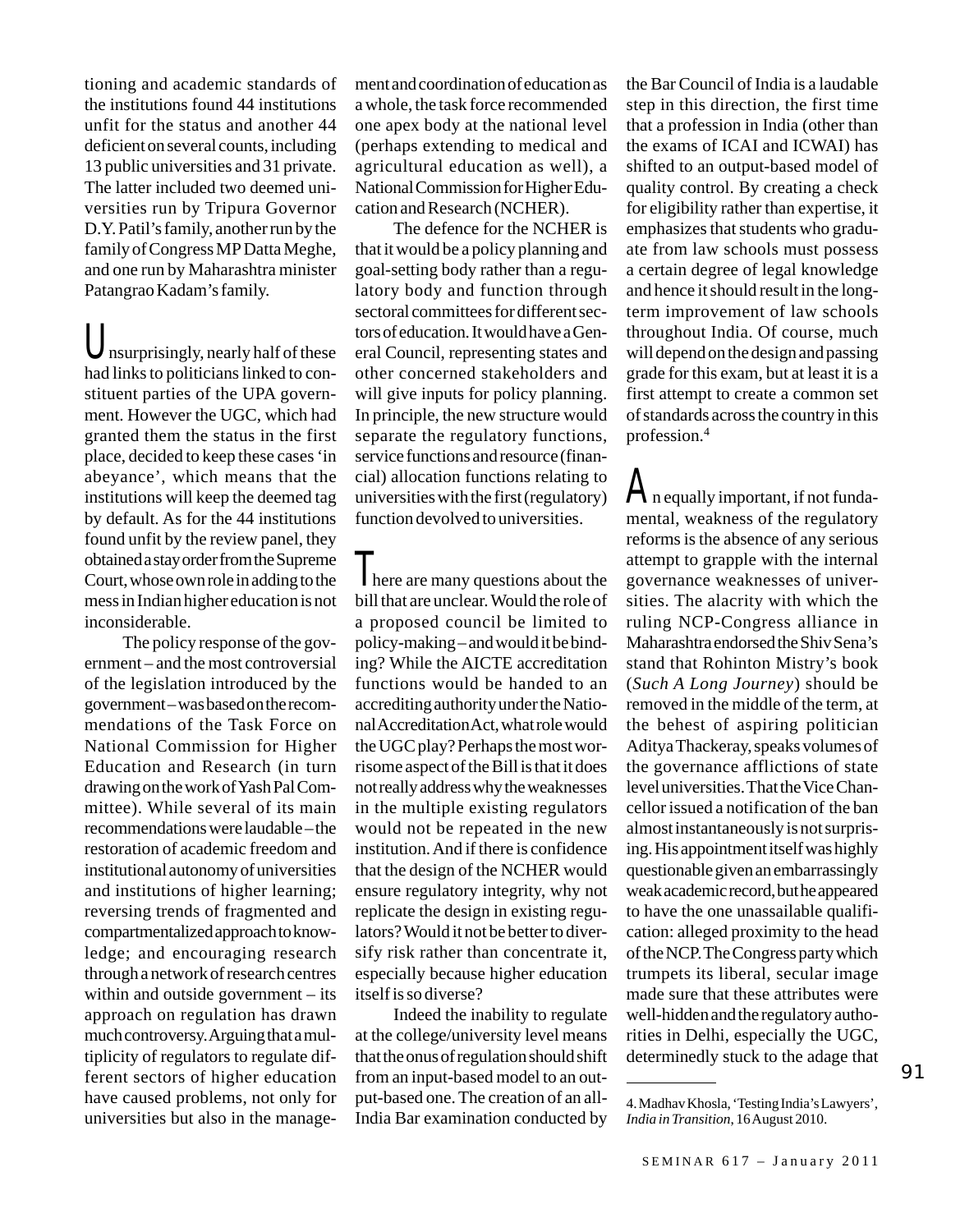tioning and academic standards of the institutions found 44 institutions unfit for the status and another 44 deficient on several counts, including 13 public universities and 31 private. The latter included two deemed universities run by Tripura Governor D.Y. Patil's family, another run by the family of Congress MP Datta Meghe, and one run by Maharashtra minister Patangrao Kadam's family.

Unsurprisingly, nearly half of these had links to politicians linked to constituent parties of the UPA government. However the UGC, which had granted them the status in the first place, decided to keep these cases 'in abeyance', which means that the institutions will keep the deemed tag by default. As for the 44 institutions found unfit by the review panel, they obtained a stay order from the Supreme Court, whose own role in adding to the mess in Indian higher education is not inconsiderable.

The policy response of the government – and the most controversial of the legislation introduced by the government – was based on the recommendations of the Task Force on National Commission for Higher Education and Research (in turn drawing on the work of Yash Pal Committee). While several of its main recommendations were laudable – the restoration of academic freedom and institutional autonomy of universities and institutions of higher learning; reversing trends of fragmented and compartmentalized approach to knowledge; and encouraging research through a network of research centres within and outside government – its approach on regulation has drawn much controversy. Arguing that a multiplicity of regulators to regulate different sectors of higher education have caused problems, not only for universities but also in the management and coordination of education as a whole, the task force recommended one apex body at the national level (perhaps extending to medical and agricultural education as well), a National Commission for Higher Education and Research (NCHER).

The defence for the NCHER is that it would be a policy planning and goal-setting body rather than a regulatory body and function through sectoral committees for different sectors of education. It would have a General Council, representing states and other concerned stakeholders and will give inputs for policy planning. In principle, the new structure would separate the regulatory functions, service functions and resource (financial) allocation functions relating to universities with the first (regulatory) function devolved to universities.

**There** are many questions about the bill that are unclear. Would the role of a proposed council be limited to policy-making – and would it be binding? While the AICTE accreditation functions would be handed to an accrediting authority under the National Accreditation Act, what role would the UGC play? Perhaps the most worrisome aspect of the Bill is that it does not really address why the weaknesses in the multiple existing regulators would not be repeated in the new institution. And if there is confidence that the design of the NCHER would ensure regulatory integrity, why not replicate the design in existing regulators? Would it not be better to diversify risk rather than concentrate it, especially because higher education itself is so diverse?

Indeed the inability to regulate at the college/university level means that the onus of regulation should shift from an input-based model to an output-based one. The creation of an all-India Bar examination conducted by

the Bar Council of India is a laudable step in this direction, the first time that a profession in India (other than the exams of ICAI and ICWAI) has shifted to an output-based model of quality control. By creating a check for eligibility rather than expertise, it emphasizes that students who graduate from law schools must possess a certain degree of legal knowledge and hence it should result in the longterm improvement of law schools throughout India. Of course, much will depend on the design and passing grade for this exam, but at least it is a first attempt to create a common set of standards across the country in this profession.4

An equally important, if not fundamental, weakness of the regulatory reforms is the absence of any serious attempt to grapple with the internal governance weaknesses of universities. The alacrity with which the ruling NCP-Congress alliance in Maharashtra endorsed the Shiv Sena's stand that Rohinton Mistry's book (*Such A Long Journey*) should be removed in the middle of the term, at the behest of aspiring politician Aditya Thackeray, speaks volumes of the governance afflictions of state level universities. That the Vice Chancellor issued a notification of the ban almost instantaneously is not surprising. His appointment itself was highly questionable given an embarrassingly weak academic record, but he appeared to have the one unassailable qualification: alleged proximity to the head of the NCP. The Congress party which trumpets its liberal, secular image made sure that these attributes were well-hidden and the regulatory authorities in Delhi, especially the UGC, determinedly stuck to the adage that

<sup>4.</sup> Madhav Khosla, 'Testing India's Lawyers', *India in Transition*, 16 August 2010.